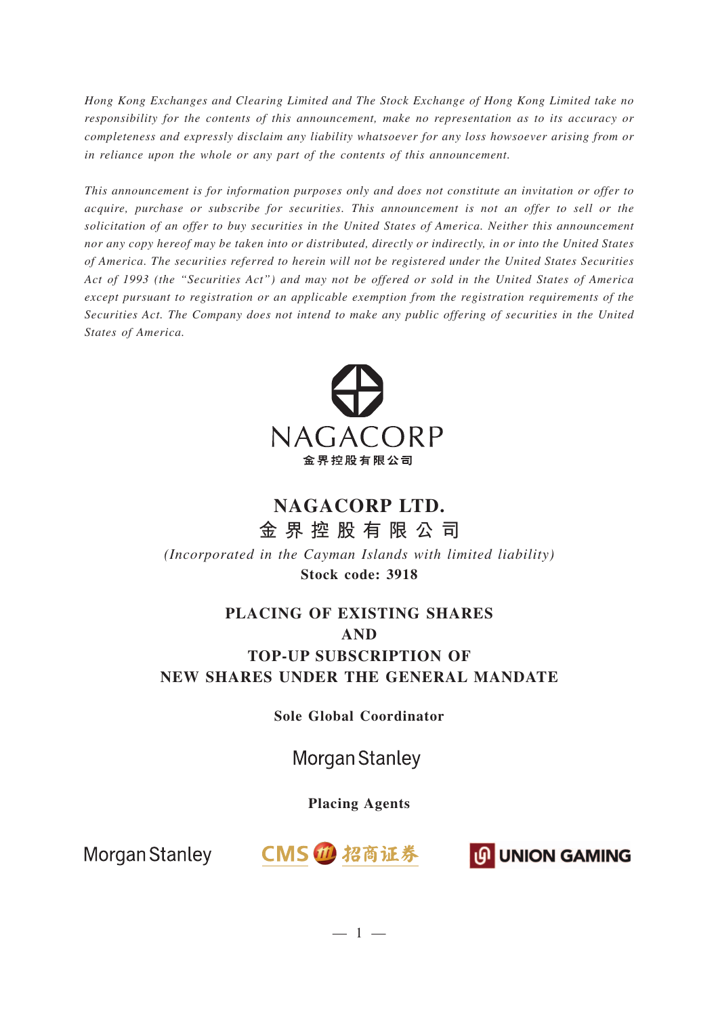*Hong Kong Exchanges and Clearing Limited and The Stock Exchange of Hong Kong Limited take no responsibility for the contents of this announcement, make no representation as to its accuracy or completeness and expressly disclaim any liability whatsoever for any loss howsoever arising from or in reliance upon the whole or any part of the contents of this announcement.*

*This announcement is for information purposes only and does not constitute an invitation or offer to acquire, purchase or subscribe for securities. This announcement is not an offer to sell or the solicitation of an offer to buy securities in the United States of America. Neither this announcement nor any copy hereof may be taken into or distributed, directly or indirectly, in or into the United States of America. The securities referred to herein will not be registered under the United States Securities Act of 1993 (the "Securities Act") and may not be offered or sold in the United States of America except pursuant to registration or an applicable exemption from the registration requirements of the Securities Act. The Company does not intend to make any public offering of securities in the United States of America.*



# **NAGACORP LTD.**

**金界控股有限公司** *(Incorporated in the Cayman Islands with limited liability)* **Stock code: 3918**

# **PLACING OF EXISTING SHARES AND TOP-UP SUBSCRIPTION OF NEW SHARES UNDER THE GENERAL MANDATE**

**Sole Global Coordinator**

# **Morgan Stanley**

## **Placing Agents**



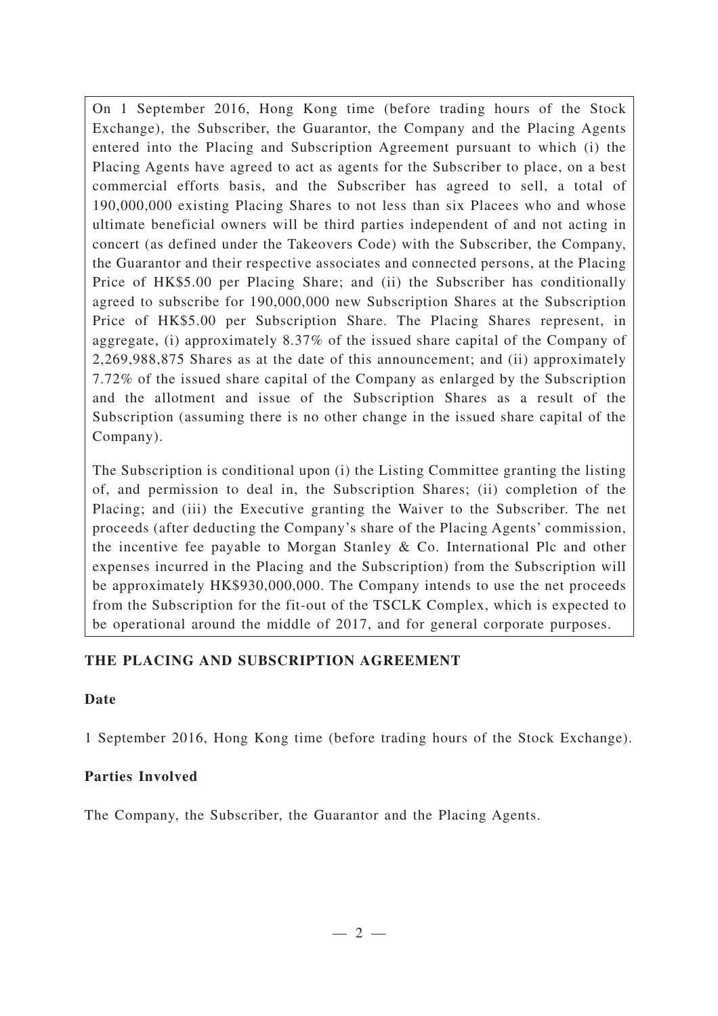On 1 September 2016, Hong Kong time (before trading hours of the Stock Exchange), the Subscriber, the Guarantor, the Company and the Placing Agents entered into the Placing and Subscription Agreement pursuant to which (i) the Placing Agents have agreed to act as agents for the Subscriber to place, on a best commercial efforts basis, and the Subscriber has agreed to sell, a total of 190,000,000 existing Placing Shares to not less than six Placees who and whose ultimate beneficial owners will be third parties independent of and not acting in concert (as defined under the Takeovers Code) with the Subscriber, the Company, the Guarantor and their respective associates and connected persons, at the Placing Price of HK\$5.00 per Placing Share; and (ii) the Subscriber has conditionally agreed to subscribe for 190,000,000 new Subscription Shares at the Subscription Price of HK\$5.00 per Subscription Share. The Placing Shares represent, in aggregate, (i) approximately 8.37% of the issued share capital of the Company of 2,269,988,875 Shares as at the date of this announcement; and (ii) approximately 7.72% of the issued share capital of the Company as enlarged by the Subscription and the allotment and issue of the Subscription Shares as a result of the Subscription (assuming there is no other change in the issued share capital of the Company).

The Subscription is conditional upon (i) the Listing Committee granting the listing of, and permission to deal in, the Subscription Shares; (ii) completion of the Placing; and (iii) the Executive granting the Waiver to the Subscriber. The net proceeds (after deducting the Company's share of the Placing Agents' commission, the incentive fee payable to Morgan Stanley & Co. International Plc and other expenses incurred in the Placing and the Subscription) from the Subscription will be approximately HK\$930,000,000. The Company intends to use the net proceeds from the Subscription for the fit-out of the TSCLK Complex, which is expected to be operational around the middle of 2017, and for general corporate purposes.

## **THE PLACING AND SUBSCRIPTION AGREEMENT**

#### **Date**

1 September 2016, Hong Kong time (before trading hours of the Stock Exchange).

## **Parties Involved**

The Company, the Subscriber, the Guarantor and the Placing Agents.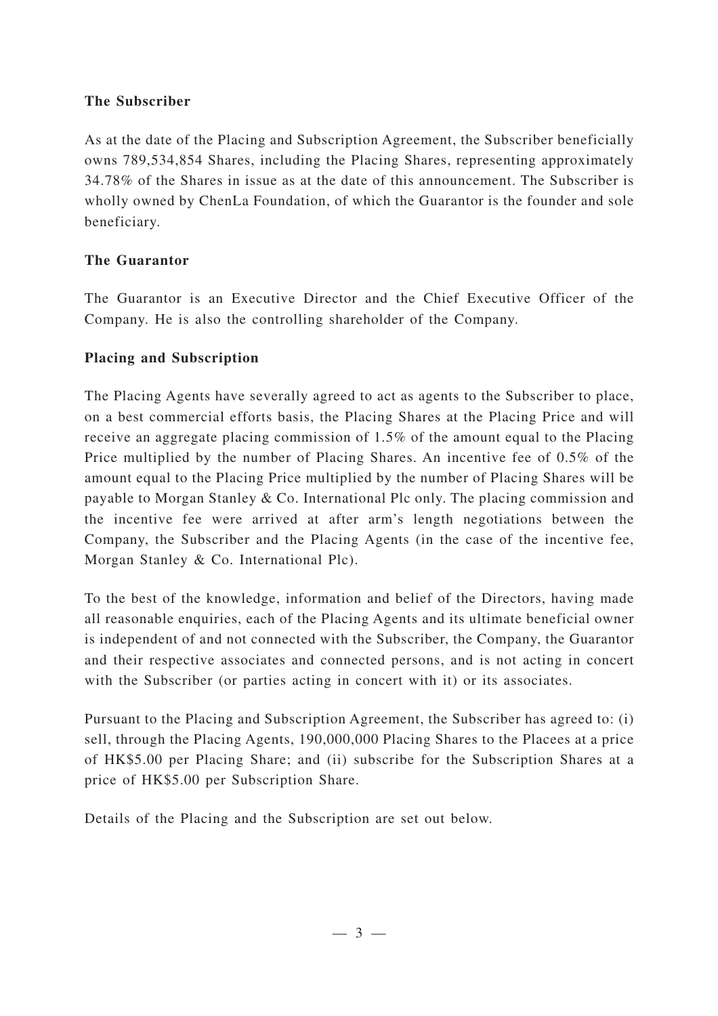### **The Subscriber**

As at the date of the Placing and Subscription Agreement, the Subscriber beneficially owns 789,534,854 Shares, including the Placing Shares, representing approximately 34.78% of the Shares in issue as at the date of this announcement. The Subscriber is wholly owned by ChenLa Foundation, of which the Guarantor is the founder and sole beneficiary.

## **The Guarantor**

The Guarantor is an Executive Director and the Chief Executive Officer of the Company. He is also the controlling shareholder of the Company.

## **Placing and Subscription**

The Placing Agents have severally agreed to act as agents to the Subscriber to place, on a best commercial efforts basis, the Placing Shares at the Placing Price and will receive an aggregate placing commission of 1.5% of the amount equal to the Placing Price multiplied by the number of Placing Shares. An incentive fee of 0.5% of the amount equal to the Placing Price multiplied by the number of Placing Shares will be payable to Morgan Stanley & Co. International Plc only. The placing commission and the incentive fee were arrived at after arm's length negotiations between the Company, the Subscriber and the Placing Agents (in the case of the incentive fee, Morgan Stanley & Co. International Plc).

To the best of the knowledge, information and belief of the Directors, having made all reasonable enquiries, each of the Placing Agents and its ultimate beneficial owner is independent of and not connected with the Subscriber, the Company, the Guarantor and their respective associates and connected persons, and is not acting in concert with the Subscriber (or parties acting in concert with it) or its associates.

Pursuant to the Placing and Subscription Agreement, the Subscriber has agreed to: (i) sell, through the Placing Agents, 190,000,000 Placing Shares to the Placees at a price of HK\$5.00 per Placing Share; and (ii) subscribe for the Subscription Shares at a price of HK\$5.00 per Subscription Share.

Details of the Placing and the Subscription are set out below.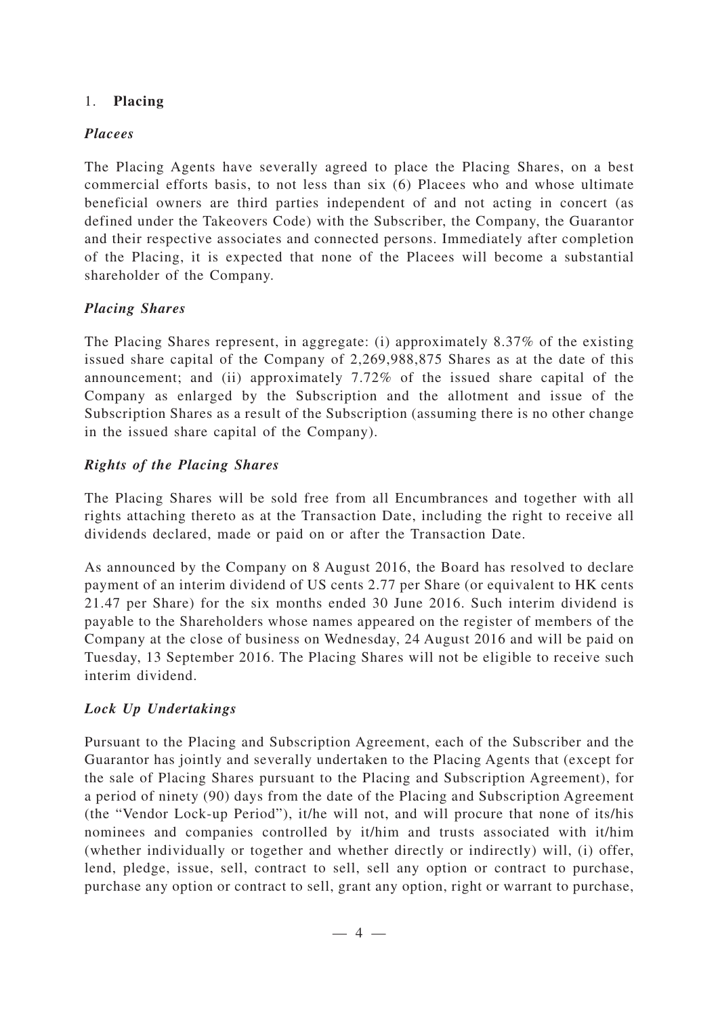#### 1. **Placing**

### *Placees*

The Placing Agents have severally agreed to place the Placing Shares, on a best commercial efforts basis, to not less than six (6) Placees who and whose ultimate beneficial owners are third parties independent of and not acting in concert (as defined under the Takeovers Code) with the Subscriber, the Company, the Guarantor and their respective associates and connected persons. Immediately after completion of the Placing, it is expected that none of the Placees will become a substantial shareholder of the Company.

## *Placing Shares*

The Placing Shares represent, in aggregate: (i) approximately 8.37% of the existing issued share capital of the Company of 2,269,988,875 Shares as at the date of this announcement; and (ii) approximately 7.72% of the issued share capital of the Company as enlarged by the Subscription and the allotment and issue of the Subscription Shares as a result of the Subscription (assuming there is no other change in the issued share capital of the Company).

## *Rights of the Placing Shares*

The Placing Shares will be sold free from all Encumbrances and together with all rights attaching thereto as at the Transaction Date, including the right to receive all dividends declared, made or paid on or after the Transaction Date.

As announced by the Company on 8 August 2016, the Board has resolved to declare payment of an interim dividend of US cents 2.77 per Share (or equivalent to HK cents 21.47 per Share) for the six months ended 30 June 2016. Such interim dividend is payable to the Shareholders whose names appeared on the register of members of the Company at the close of business on Wednesday, 24 August 2016 and will be paid on Tuesday, 13 September 2016. The Placing Shares will not be eligible to receive such interim dividend.

## *Lock Up Undertakings*

Pursuant to the Placing and Subscription Agreement, each of the Subscriber and the Guarantor has jointly and severally undertaken to the Placing Agents that (except for the sale of Placing Shares pursuant to the Placing and Subscription Agreement), for a period of ninety (90) days from the date of the Placing and Subscription Agreement (the "Vendor Lock-up Period"), it/he will not, and will procure that none of its/his nominees and companies controlled by it/him and trusts associated with it/him (whether individually or together and whether directly or indirectly) will, (i) offer, lend, pledge, issue, sell, contract to sell, sell any option or contract to purchase, purchase any option or contract to sell, grant any option, right or warrant to purchase,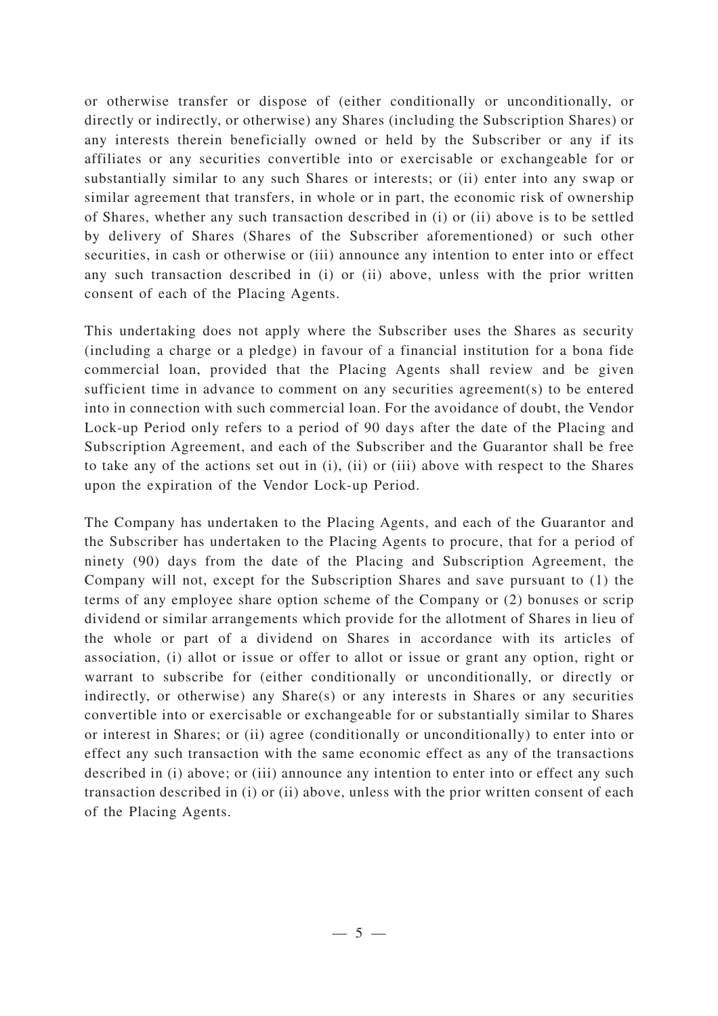or otherwise transfer or dispose of (either conditionally or unconditionally, or directly or indirectly, or otherwise) any Shares (including the Subscription Shares) or any interests therein beneficially owned or held by the Subscriber or any if its affiliates or any securities convertible into or exercisable or exchangeable for or substantially similar to any such Shares or interests; or (ii) enter into any swap or similar agreement that transfers, in whole or in part, the economic risk of ownership of Shares, whether any such transaction described in (i) or (ii) above is to be settled by delivery of Shares (Shares of the Subscriber aforementioned) or such other securities, in cash or otherwise or (iii) announce any intention to enter into or effect any such transaction described in (i) or (ii) above, unless with the prior written consent of each of the Placing Agents.

This undertaking does not apply where the Subscriber uses the Shares as security (including a charge or a pledge) in favour of a financial institution for a bona fide commercial loan, provided that the Placing Agents shall review and be given sufficient time in advance to comment on any securities agreement(s) to be entered into in connection with such commercial loan. For the avoidance of doubt, the Vendor Lock-up Period only refers to a period of 90 days after the date of the Placing and Subscription Agreement, and each of the Subscriber and the Guarantor shall be free to take any of the actions set out in (i), (ii) or (iii) above with respect to the Shares upon the expiration of the Vendor Lock-up Period.

The Company has undertaken to the Placing Agents, and each of the Guarantor and the Subscriber has undertaken to the Placing Agents to procure, that for a period of ninety (90) days from the date of the Placing and Subscription Agreement, the Company will not, except for the Subscription Shares and save pursuant to (1) the terms of any employee share option scheme of the Company or (2) bonuses or scrip dividend or similar arrangements which provide for the allotment of Shares in lieu of the whole or part of a dividend on Shares in accordance with its articles of association, (i) allot or issue or offer to allot or issue or grant any option, right or warrant to subscribe for (either conditionally or unconditionally, or directly or indirectly, or otherwise) any Share(s) or any interests in Shares or any securities convertible into or exercisable or exchangeable for or substantially similar to Shares or interest in Shares; or (ii) agree (conditionally or unconditionally) to enter into or effect any such transaction with the same economic effect as any of the transactions described in (i) above; or (iii) announce any intention to enter into or effect any such transaction described in (i) or (ii) above, unless with the prior written consent of each of the Placing Agents.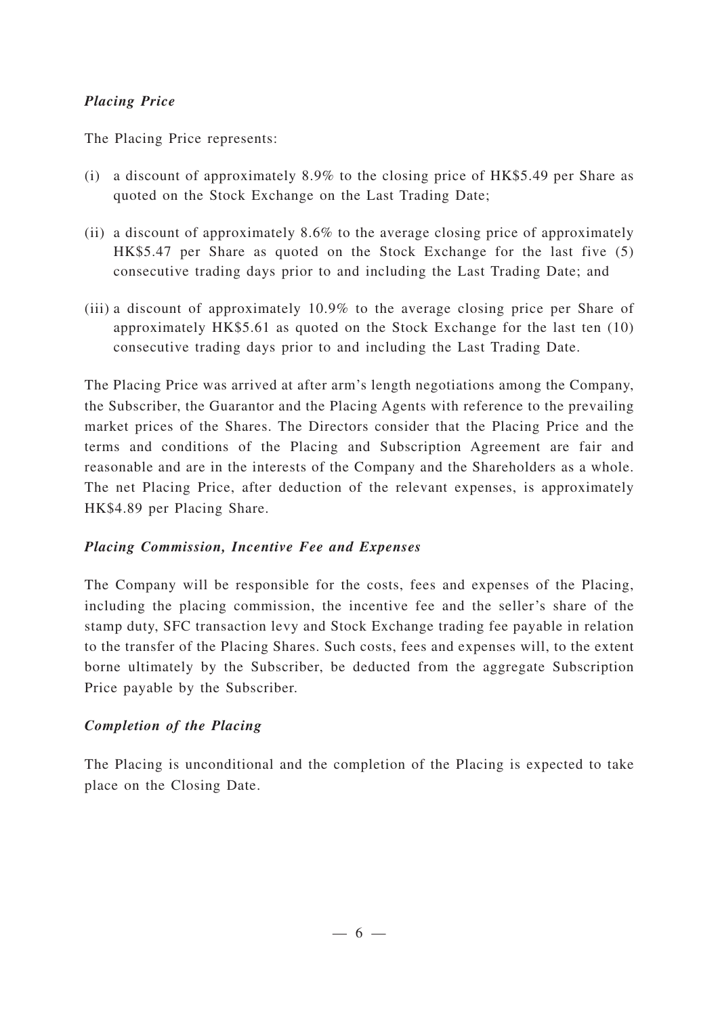### *Placing Price*

The Placing Price represents:

- (i) a discount of approximately 8.9% to the closing price of HK\$5.49 per Share as quoted on the Stock Exchange on the Last Trading Date;
- (ii) a discount of approximately 8.6% to the average closing price of approximately HK\$5.47 per Share as quoted on the Stock Exchange for the last five (5) consecutive trading days prior to and including the Last Trading Date; and
- (iii) a discount of approximately 10.9% to the average closing price per Share of approximately HK\$5.61 as quoted on the Stock Exchange for the last ten (10) consecutive trading days prior to and including the Last Trading Date.

The Placing Price was arrived at after arm's length negotiations among the Company, the Subscriber, the Guarantor and the Placing Agents with reference to the prevailing market prices of the Shares. The Directors consider that the Placing Price and the terms and conditions of the Placing and Subscription Agreement are fair and reasonable and are in the interests of the Company and the Shareholders as a whole. The net Placing Price, after deduction of the relevant expenses, is approximately HK\$4.89 per Placing Share.

#### *Placing Commission, Incentive Fee and Expenses*

The Company will be responsible for the costs, fees and expenses of the Placing, including the placing commission, the incentive fee and the seller 's share of the stamp duty, SFC transaction levy and Stock Exchange trading fee payable in relation to the transfer of the Placing Shares. Such costs, fees and expenses will, to the extent borne ultimately by the Subscriber, be deducted from the aggregate Subscription Price payable by the Subscriber.

## *Completion of the Placing*

The Placing is unconditional and the completion of the Placing is expected to take place on the Closing Date.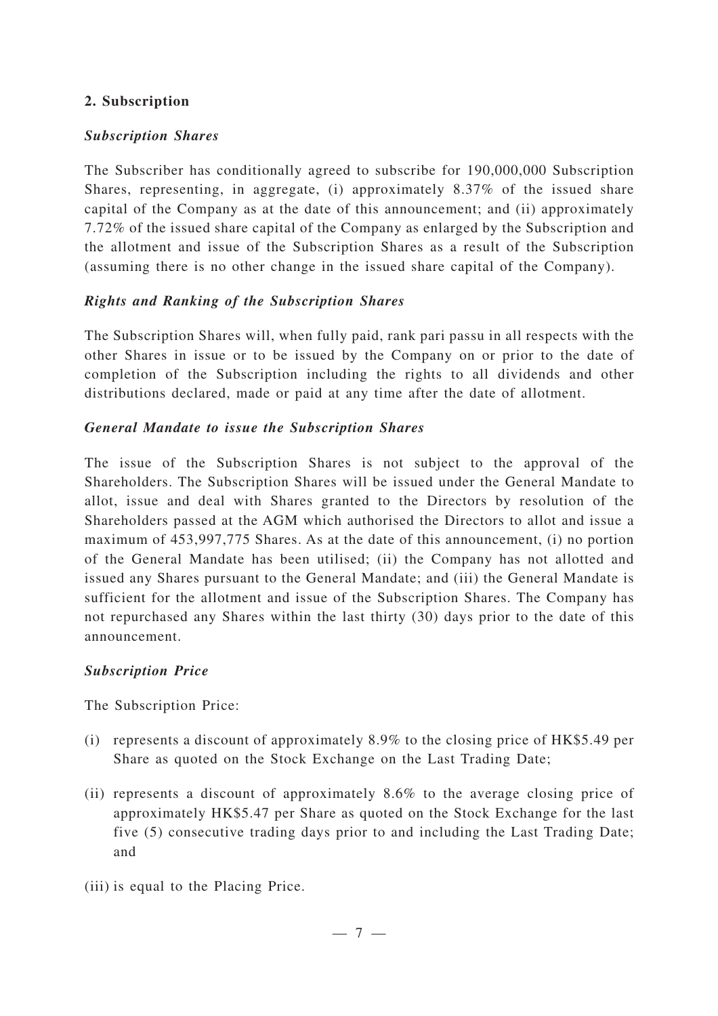#### **2. Subscription**

### *Subscription Shares*

The Subscriber has conditionally agreed to subscribe for 190,000,000 Subscription Shares, representing, in aggregate, (i) approximately 8.37% of the issued share capital of the Company as at the date of this announcement; and (ii) approximately 7.72% of the issued share capital of the Company as enlarged by the Subscription and the allotment and issue of the Subscription Shares as a result of the Subscription (assuming there is no other change in the issued share capital of the Company).

#### *Rights and Ranking of the Subscription Shares*

The Subscription Shares will, when fully paid, rank pari passu in all respects with the other Shares in issue or to be issued by the Company on or prior to the date of completion of the Subscription including the rights to all dividends and other distributions declared, made or paid at any time after the date of allotment.

#### *General Mandate to issue the Subscription Shares*

The issue of the Subscription Shares is not subject to the approval of the Shareholders. The Subscription Shares will be issued under the General Mandate to allot, issue and deal with Shares granted to the Directors by resolution of the Shareholders passed at the AGM which authorised the Directors to allot and issue a maximum of 453,997,775 Shares. As at the date of this announcement, (i) no portion of the General Mandate has been utilised; (ii) the Company has not allotted and issued any Shares pursuant to the General Mandate; and (iii) the General Mandate is sufficient for the allotment and issue of the Subscription Shares. The Company has not repurchased any Shares within the last thirty (30) days prior to the date of this announcement.

## *Subscription Price*

The Subscription Price:

- (i) represents a discount of approximately 8.9% to the closing price of HK\$5.49 per Share as quoted on the Stock Exchange on the Last Trading Date;
- (ii) represents a discount of approximately 8.6% to the average closing price of approximately HK\$5.47 per Share as quoted on the Stock Exchange for the last five (5) consecutive trading days prior to and including the Last Trading Date; and
- (iii) is equal to the Placing Price.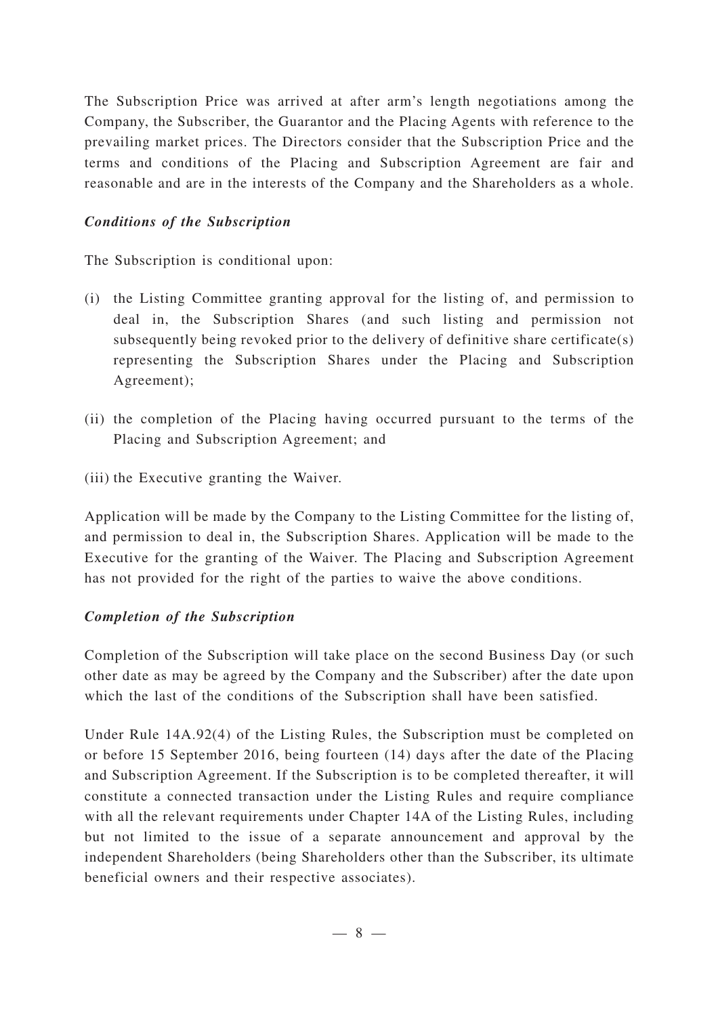The Subscription Price was arrived at after arm's length negotiations among the Company, the Subscriber, the Guarantor and the Placing Agents with reference to the prevailing market prices. The Directors consider that the Subscription Price and the terms and conditions of the Placing and Subscription Agreement are fair and reasonable and are in the interests of the Company and the Shareholders as a whole.

### *Conditions of the Subscription*

The Subscription is conditional upon:

- (i) the Listing Committee granting approval for the listing of, and permission to deal in, the Subscription Shares (and such listing and permission not subsequently being revoked prior to the delivery of definitive share certificate(s) representing the Subscription Shares under the Placing and Subscription Agreement);
- (ii) the completion of the Placing having occurred pursuant to the terms of the Placing and Subscription Agreement; and
- (iii) the Executive granting the Waiver.

Application will be made by the Company to the Listing Committee for the listing of, and permission to deal in, the Subscription Shares. Application will be made to the Executive for the granting of the Waiver. The Placing and Subscription Agreement has not provided for the right of the parties to waive the above conditions.

## *Completion of the Subscription*

Completion of the Subscription will take place on the second Business Day (or such other date as may be agreed by the Company and the Subscriber) after the date upon which the last of the conditions of the Subscription shall have been satisfied.

Under Rule 14A.92(4) of the Listing Rules, the Subscription must be completed on or before 15 September 2016, being fourteen (14) days after the date of the Placing and Subscription Agreement. If the Subscription is to be completed thereafter, it will constitute a connected transaction under the Listing Rules and require compliance with all the relevant requirements under Chapter 14A of the Listing Rules, including but not limited to the issue of a separate announcement and approval by the independent Shareholders (being Shareholders other than the Subscriber, its ultimate beneficial owners and their respective associates).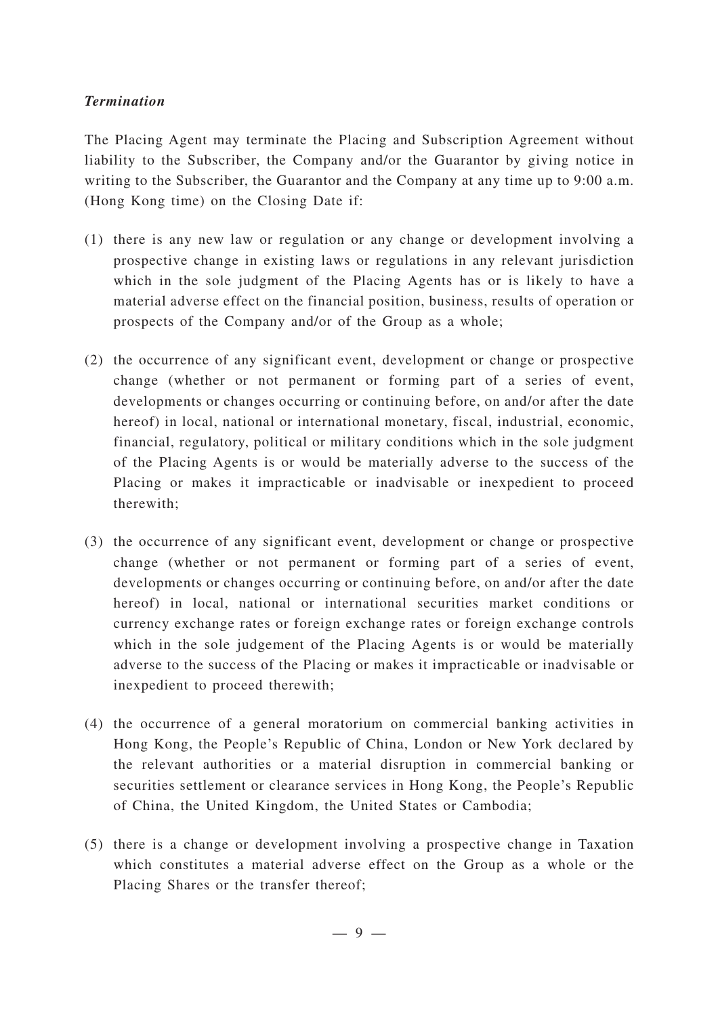#### *Termination*

The Placing Agent may terminate the Placing and Subscription Agreement without liability to the Subscriber, the Company and/or the Guarantor by giving notice in writing to the Subscriber, the Guarantor and the Company at any time up to 9:00 a.m. (Hong Kong time) on the Closing Date if:

- (1) there is any new law or regulation or any change or development involving a prospective change in existing laws or regulations in any relevant jurisdiction which in the sole judgment of the Placing Agents has or is likely to have a material adverse effect on the financial position, business, results of operation or prospects of the Company and/or of the Group as a whole;
- (2) the occurrence of any significant event, development or change or prospective change (whether or not permanent or forming part of a series of event, developments or changes occurring or continuing before, on and/or after the date hereof) in local, national or international monetary, fiscal, industrial, economic, financial, regulatory, political or military conditions which in the sole judgment of the Placing Agents is or would be materially adverse to the success of the Placing or makes it impracticable or inadvisable or inexpedient to proceed therewith;
- (3) the occurrence of any significant event, development or change or prospective change (whether or not permanent or forming part of a series of event, developments or changes occurring or continuing before, on and/or after the date hereof) in local, national or international securities market conditions or currency exchange rates or foreign exchange rates or foreign exchange controls which in the sole judgement of the Placing Agents is or would be materially adverse to the success of the Placing or makes it impracticable or inadvisable or inexpedient to proceed therewith;
- (4) the occurrence of a general moratorium on commercial banking activities in Hong Kong, the People's Republic of China, London or New York declared by the relevant authorities or a material disruption in commercial banking or securities settlement or clearance services in Hong Kong, the People's Republic of China, the United Kingdom, the United States or Cambodia;
- (5) there is a change or development involving a prospective change in Taxation which constitutes a material adverse effect on the Group as a whole or the Placing Shares or the transfer thereof;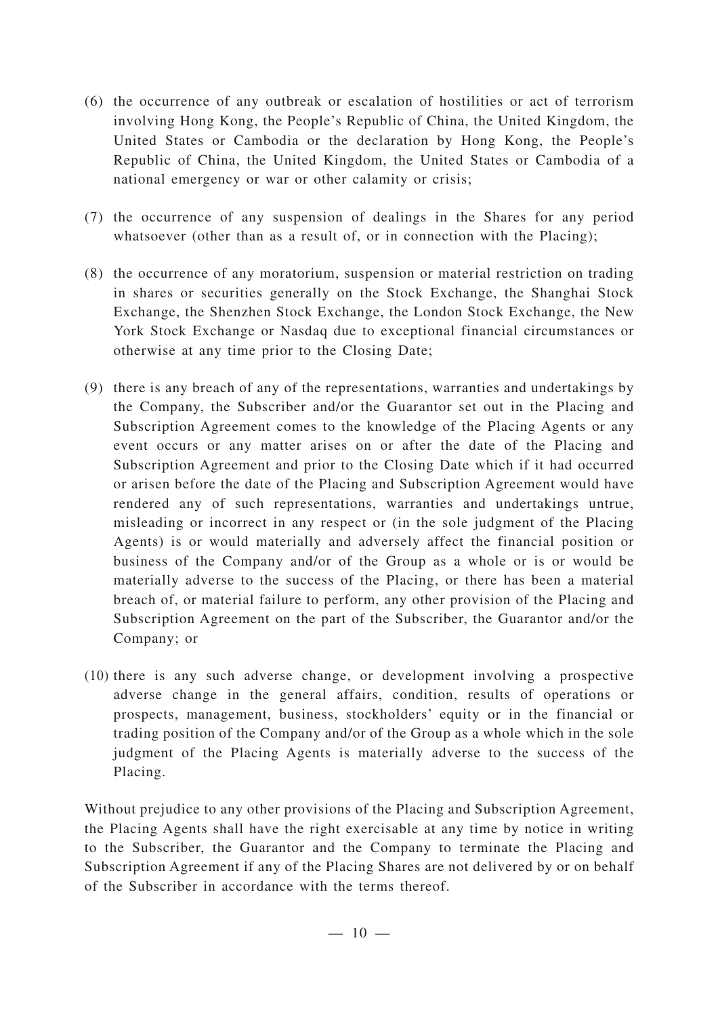- (6) the occurrence of any outbreak or escalation of hostilities or act of terrorism involving Hong Kong, the People's Republic of China, the United Kingdom, the United States or Cambodia or the declaration by Hong Kong, the People's Republic of China, the United Kingdom, the United States or Cambodia of a national emergency or war or other calamity or crisis;
- (7) the occurrence of any suspension of dealings in the Shares for any period whatsoever (other than as a result of, or in connection with the Placing);
- (8) the occurrence of any moratorium, suspension or material restriction on trading in shares or securities generally on the Stock Exchange, the Shanghai Stock Exchange, the Shenzhen Stock Exchange, the London Stock Exchange, the New York Stock Exchange or Nasdaq due to exceptional financial circumstances or otherwise at any time prior to the Closing Date;
- (9) there is any breach of any of the representations, warranties and undertakings by the Company, the Subscriber and/or the Guarantor set out in the Placing and Subscription Agreement comes to the knowledge of the Placing Agents or any event occurs or any matter arises on or after the date of the Placing and Subscription Agreement and prior to the Closing Date which if it had occurred or arisen before the date of the Placing and Subscription Agreement would have rendered any of such representations, warranties and undertakings untrue, misleading or incorrect in any respect or (in the sole judgment of the Placing Agents) is or would materially and adversely affect the financial position or business of the Company and/or of the Group as a whole or is or would be materially adverse to the success of the Placing, or there has been a material breach of, or material failure to perform, any other provision of the Placing and Subscription Agreement on the part of the Subscriber, the Guarantor and/or the Company; or
- (10) there is any such adverse change, or development involving a prospective adverse change in the general affairs, condition, results of operations or prospects, management, business, stockholders' equity or in the financial or trading position of the Company and/or of the Group as a whole which in the sole judgment of the Placing Agents is materially adverse to the success of the Placing.

Without prejudice to any other provisions of the Placing and Subscription Agreement, the Placing Agents shall have the right exercisable at any time by notice in writing to the Subscriber, the Guarantor and the Company to terminate the Placing and Subscription Agreement if any of the Placing Shares are not delivered by or on behalf of the Subscriber in accordance with the terms thereof.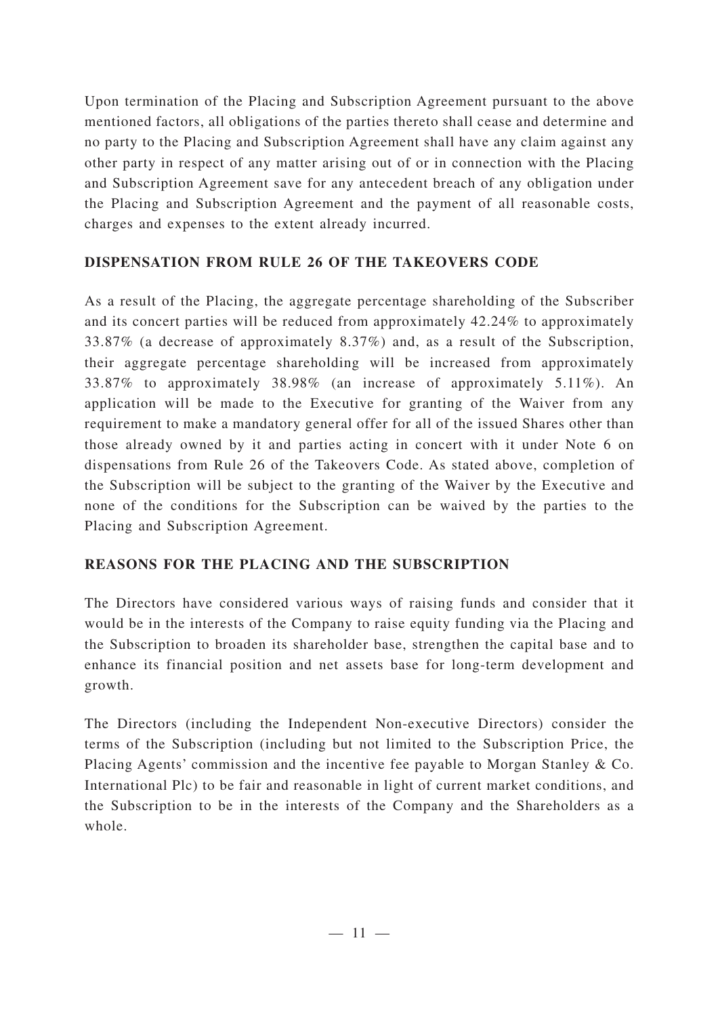Upon termination of the Placing and Subscription Agreement pursuant to the above mentioned factors, all obligations of the parties thereto shall cease and determine and no party to the Placing and Subscription Agreement shall have any claim against any other party in respect of any matter arising out of or in connection with the Placing and Subscription Agreement save for any antecedent breach of any obligation under the Placing and Subscription Agreement and the payment of all reasonable costs, charges and expenses to the extent already incurred.

## **DISPENSATION FROM RULE 26 OF THE TAKEOVERS CODE**

As a result of the Placing, the aggregate percentage shareholding of the Subscriber and its concert parties will be reduced from approximately 42.24% to approximately 33.87% (a decrease of approximately 8.37%) and, as a result of the Subscription, their aggregate percentage shareholding will be increased from approximately 33.87% to approximately 38.98% (an increase of approximately 5.11%). An application will be made to the Executive for granting of the Waiver from any requirement to make a mandatory general offer for all of the issued Shares other than those already owned by it and parties acting in concert with it under Note 6 on dispensations from Rule 26 of the Takeovers Code. As stated above, completion of the Subscription will be subject to the granting of the Waiver by the Executive and none of the conditions for the Subscription can be waived by the parties to the Placing and Subscription Agreement.

## **REASONS FOR THE PLACING AND THE SUBSCRIPTION**

The Directors have considered various ways of raising funds and consider that it would be in the interests of the Company to raise equity funding via the Placing and the Subscription to broaden its shareholder base, strengthen the capital base and to enhance its financial position and net assets base for long-term development and growth.

The Directors (including the Independent Non-executive Directors) consider the terms of the Subscription (including but not limited to the Subscription Price, the Placing Agents' commission and the incentive fee payable to Morgan Stanley & Co. International Plc) to be fair and reasonable in light of current market conditions, and the Subscription to be in the interests of the Company and the Shareholders as a whole.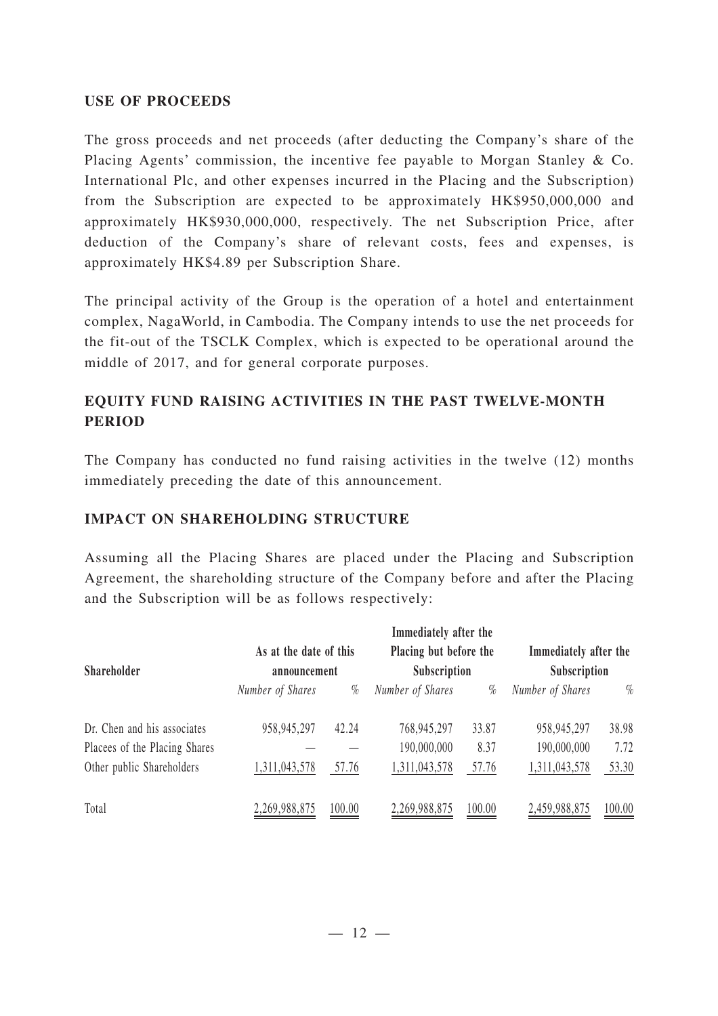#### **USE OF PROCEEDS**

The gross proceeds and net proceeds (after deducting the Company's share of the Placing Agents' commission, the incentive fee payable to Morgan Stanley & Co. International Plc, and other expenses incurred in the Placing and the Subscription) from the Subscription are expected to be approximately HK\$950,000,000 and approximately HK\$930,000,000, respectively. The net Subscription Price, after deduction of the Company's share of relevant costs, fees and expenses, is approximately HK\$4.89 per Subscription Share.

The principal activity of the Group is the operation of a hotel and entertainment complex, NagaWorld, in Cambodia. The Company intends to use the net proceeds for the fit-out of the TSCLK Complex, which is expected to be operational around the middle of 2017, and for general corporate purposes.

## **EQUITY FUND RAISING ACTIVITIES IN THE PAST TWELVE-MONTH PERIOD**

The Company has conducted no fund raising activities in the twelve (12) months immediately preceding the date of this announcement.

#### **IMPACT ON SHAREHOLDING STRUCTURE**

Assuming all the Placing Shares are placed under the Placing and Subscription Agreement, the shareholding structure of the Company before and after the Placing and the Subscription will be as follows respectively:

|                               | Immediately after the                  |        |                                        |        |                                       |        |  |
|-------------------------------|----------------------------------------|--------|----------------------------------------|--------|---------------------------------------|--------|--|
| Shareholder                   | As at the date of this<br>announcement |        | Placing but before the<br>Subscription |        | Immediately after the<br>Subscription |        |  |
|                               | Number of Shares                       | $\%$   | Number of Shares                       | $\%$   | Number of Shares                      | $\%$   |  |
| Dr. Chen and his associates   | 958, 945, 297                          | 42.24  | 768,945,297                            | 33.87  | 958,945,297                           | 38.98  |  |
| Placees of the Placing Shares |                                        |        | 190,000,000                            | 8.37   | 190,000,000                           | 7.72   |  |
| Other public Shareholders     | 1,311,043,578                          | 57.76  | 1,311,043,578                          | 57.76  | 1,311,043,578                         | 53.30  |  |
| Total                         | 2,269,988,875                          | 100.00 | 2,269,988,875                          | 100.00 | 2,459,988,875                         | 100.00 |  |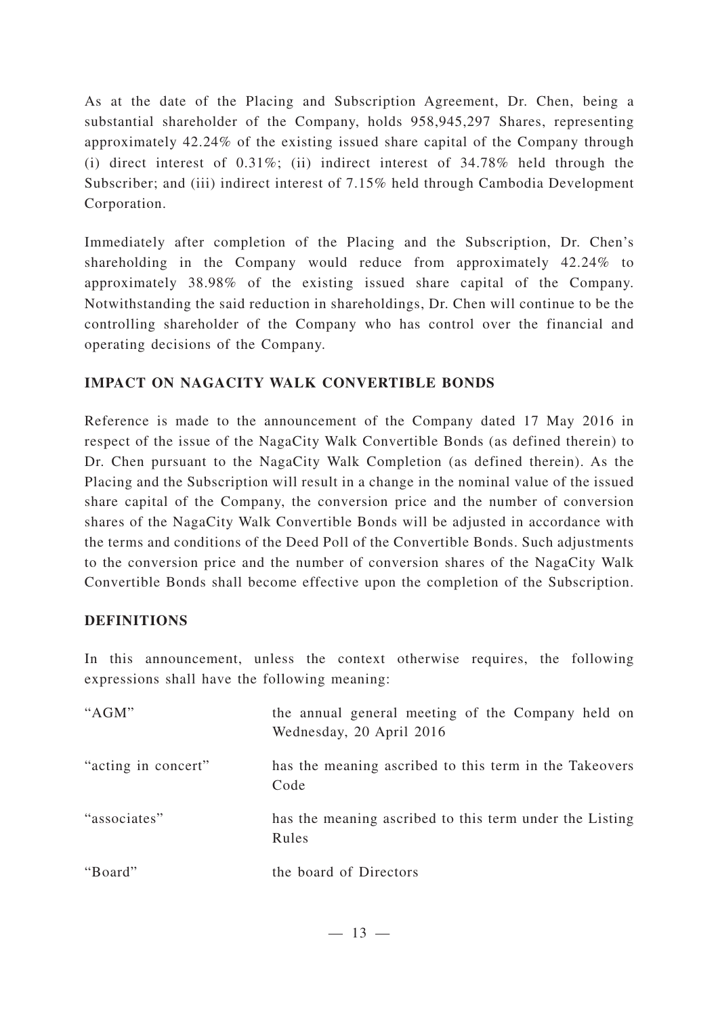As at the date of the Placing and Subscription Agreement, Dr. Chen, being a substantial shareholder of the Company, holds 958,945,297 Shares, representing approximately 42.24% of the existing issued share capital of the Company through (i) direct interest of 0.31%; (ii) indirect interest of 34.78% held through the Subscriber; and (iii) indirect interest of 7.15% held through Cambodia Development Corporation.

Immediately after completion of the Placing and the Subscription, Dr. Chen's shareholding in the Company would reduce from approximately 42.24% to approximately 38.98% of the existing issued share capital of the Company. Notwithstanding the said reduction in shareholdings, Dr. Chen will continue to be the controlling shareholder of the Company who has control over the financial and operating decisions of the Company.

## **IMPACT ON NAGACITY WALK CONVERTIBLE BONDS**

Reference is made to the announcement of the Company dated 17 May 2016 in respect of the issue of the NagaCity Walk Convertible Bonds (as defined therein) to Dr. Chen pursuant to the NagaCity Walk Completion (as defined therein). As the Placing and the Subscription will result in a change in the nominal value of the issued share capital of the Company, the conversion price and the number of conversion shares of the NagaCity Walk Convertible Bonds will be adjusted in accordance with the terms and conditions of the Deed Poll of the Convertible Bonds. Such adjustments to the conversion price and the number of conversion shares of the NagaCity Walk Convertible Bonds shall become effective upon the completion of the Subscription.

## **DEFINITIONS**

In this announcement, unless the context otherwise requires, the following expressions shall have the following meaning:

| "AGM"               | the annual general meeting of the Company held on<br>Wednesday, 20 April 2016 |
|---------------------|-------------------------------------------------------------------------------|
| "acting in concert" | has the meaning ascribed to this term in the Takeovers<br>Code                |
| "associates"        | has the meaning ascribed to this term under the Listing<br>Rules              |
| "Board"             | the board of Directors                                                        |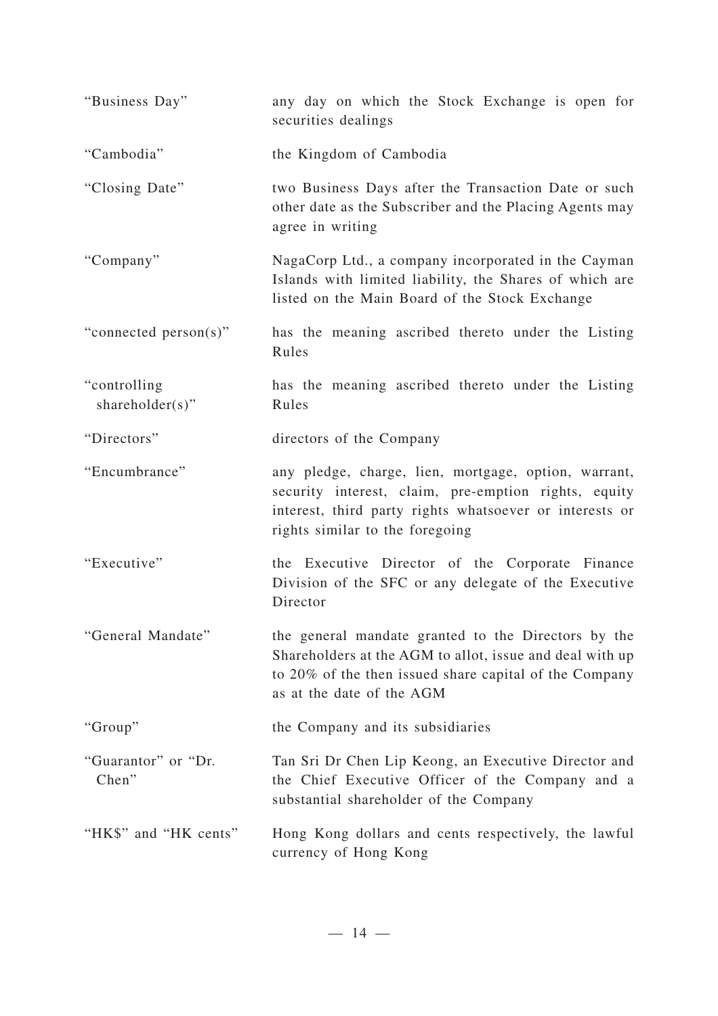| "Business Day"                   | any day on which the Stock Exchange is open for<br>securities dealings                                                                                                                                     |
|----------------------------------|------------------------------------------------------------------------------------------------------------------------------------------------------------------------------------------------------------|
| "Cambodia"                       | the Kingdom of Cambodia                                                                                                                                                                                    |
| "Closing Date"                   | two Business Days after the Transaction Date or such<br>other date as the Subscriber and the Placing Agents may<br>agree in writing                                                                        |
| "Company"                        | NagaCorp Ltd., a company incorporated in the Cayman<br>Islands with limited liability, the Shares of which are<br>listed on the Main Board of the Stock Exchange                                           |
| "connected person(s)"            | has the meaning ascribed thereto under the Listing<br>Rules                                                                                                                                                |
| "controlling"<br>shareholder(s)" | has the meaning ascribed thereto under the Listing<br>Rules                                                                                                                                                |
| "Directors"                      | directors of the Company                                                                                                                                                                                   |
| "Encumbrance"                    | any pledge, charge, lien, mortgage, option, warrant,<br>security interest, claim, pre-emption rights, equity<br>interest, third party rights whatsoever or interests or<br>rights similar to the foregoing |
| "Executive"                      | the Executive Director of the Corporate Finance<br>Division of the SFC or any delegate of the Executive<br>Director                                                                                        |
| "General Mandate"                | the general mandate granted to the Directors by the<br>Shareholders at the AGM to allot, issue and deal with up<br>to 20% of the then issued share capital of the Company<br>as at the date of the AGM     |
| "Group"                          | the Company and its subsidiaries                                                                                                                                                                           |
| "Guarantor" or "Dr.<br>Chen"     | Tan Sri Dr Chen Lip Keong, an Executive Director and<br>the Chief Executive Officer of the Company and a<br>substantial shareholder of the Company                                                         |
| "HK\$" and "HK cents"            | Hong Kong dollars and cents respectively, the lawful<br>currency of Hong Kong                                                                                                                              |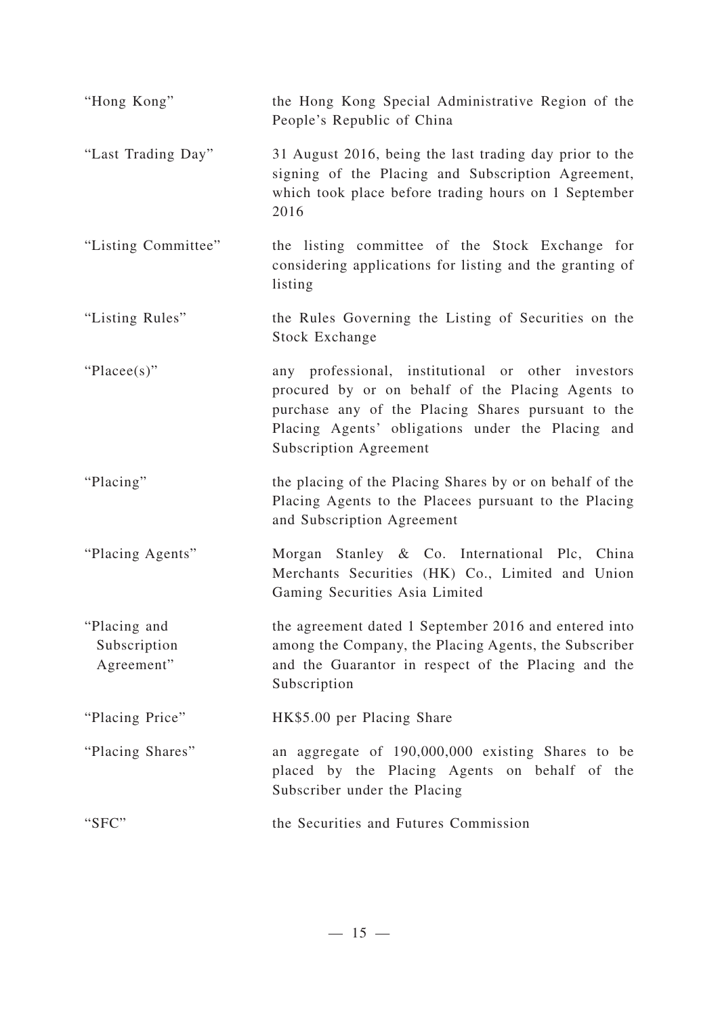| "Hong Kong"                                | the Hong Kong Special Administrative Region of the<br>People's Republic of China                                                                                                                                                                    |
|--------------------------------------------|-----------------------------------------------------------------------------------------------------------------------------------------------------------------------------------------------------------------------------------------------------|
| "Last Trading Day"                         | 31 August 2016, being the last trading day prior to the<br>signing of the Placing and Subscription Agreement,<br>which took place before trading hours on 1 September<br>2016                                                                       |
| "Listing Committee"                        | the listing committee of the Stock Exchange for<br>considering applications for listing and the granting of<br>listing                                                                                                                              |
| "Listing Rules"                            | the Rules Governing the Listing of Securities on the<br>Stock Exchange                                                                                                                                                                              |
| "Placee(s)"                                | any professional, institutional or other investors<br>procured by or on behalf of the Placing Agents to<br>purchase any of the Placing Shares pursuant to the<br>Placing Agents' obligations under the Placing and<br><b>Subscription Agreement</b> |
| "Placing"                                  | the placing of the Placing Shares by or on behalf of the<br>Placing Agents to the Placees pursuant to the Placing<br>and Subscription Agreement                                                                                                     |
| "Placing Agents"                           | Morgan Stanley & Co. International Plc, China<br>Merchants Securities (HK) Co., Limited and Union<br>Gaming Securities Asia Limited                                                                                                                 |
| "Placing and<br>Subscription<br>Agreement" | the agreement dated 1 September 2016 and entered into<br>among the Company, the Placing Agents, the Subscriber<br>and the Guarantor in respect of the Placing and the<br>Subscription                                                               |
| "Placing Price"                            | HK\$5.00 per Placing Share                                                                                                                                                                                                                          |
| "Placing Shares"                           | an aggregate of 190,000,000 existing Shares to be<br>placed by the Placing Agents on behalf of the<br>Subscriber under the Placing                                                                                                                  |
| "SFC"                                      | the Securities and Futures Commission                                                                                                                                                                                                               |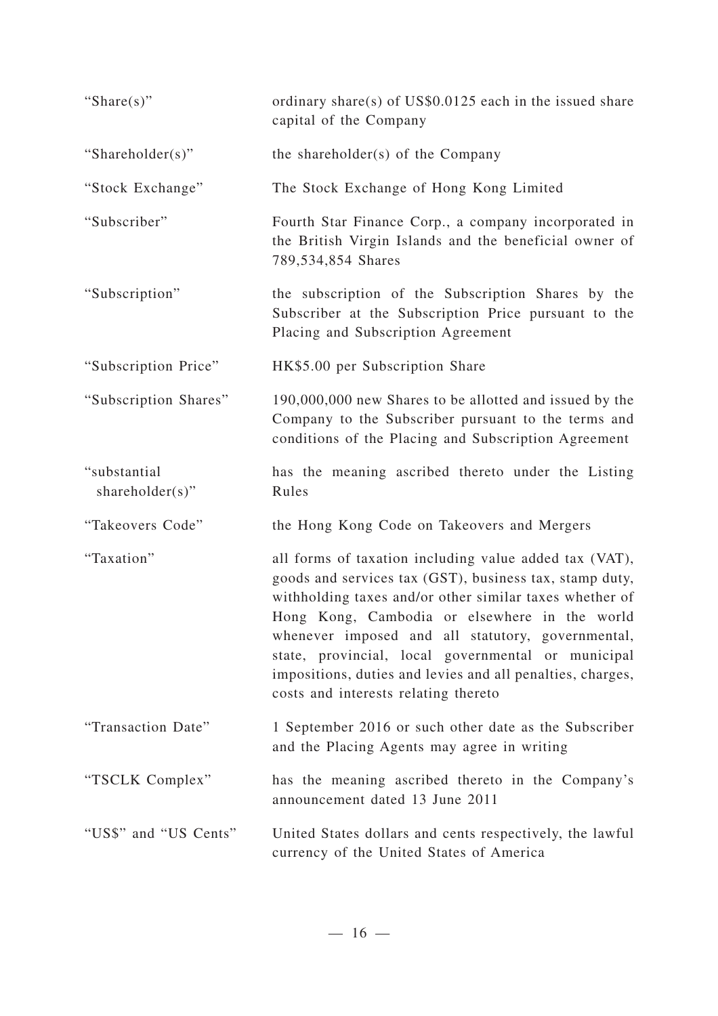| "Share $(s)$ "                  | ordinary share(s) of $US$0.0125$ each in the issued share<br>capital of the Company                                                                                                                                                                                                                                                                                                                                                            |
|---------------------------------|------------------------------------------------------------------------------------------------------------------------------------------------------------------------------------------------------------------------------------------------------------------------------------------------------------------------------------------------------------------------------------------------------------------------------------------------|
| "Shareholder(s)"                | the shareholder(s) of the Company                                                                                                                                                                                                                                                                                                                                                                                                              |
| "Stock Exchange"                | The Stock Exchange of Hong Kong Limited                                                                                                                                                                                                                                                                                                                                                                                                        |
| "Subscriber"                    | Fourth Star Finance Corp., a company incorporated in<br>the British Virgin Islands and the beneficial owner of<br>789,534,854 Shares                                                                                                                                                                                                                                                                                                           |
| "Subscription"                  | the subscription of the Subscription Shares by the<br>Subscriber at the Subscription Price pursuant to the<br>Placing and Subscription Agreement                                                                                                                                                                                                                                                                                               |
| "Subscription Price"            | HK\$5.00 per Subscription Share                                                                                                                                                                                                                                                                                                                                                                                                                |
| "Subscription Shares"           | 190,000,000 new Shares to be allotted and issued by the<br>Company to the Subscriber pursuant to the terms and<br>conditions of the Placing and Subscription Agreement                                                                                                                                                                                                                                                                         |
| "substantial<br>shareholder(s)" | has the meaning ascribed thereto under the Listing<br>Rules                                                                                                                                                                                                                                                                                                                                                                                    |
| "Takeovers Code"                | the Hong Kong Code on Takeovers and Mergers                                                                                                                                                                                                                                                                                                                                                                                                    |
| "Taxation"                      | all forms of taxation including value added tax (VAT),<br>goods and services tax (GST), business tax, stamp duty,<br>withholding taxes and/or other similar taxes whether of<br>Hong Kong, Cambodia or elsewhere in the world<br>whenever imposed and all statutory, governmental,<br>state, provincial, local governmental or municipal<br>impositions, duties and levies and all penalties, charges,<br>costs and interests relating thereto |
| "Transaction Date"              | 1 September 2016 or such other date as the Subscriber<br>and the Placing Agents may agree in writing                                                                                                                                                                                                                                                                                                                                           |
| "TSCLK Complex"                 | has the meaning ascribed thereto in the Company's<br>announcement dated 13 June 2011                                                                                                                                                                                                                                                                                                                                                           |
| "US\$" and "US Cents"           | United States dollars and cents respectively, the lawful<br>currency of the United States of America                                                                                                                                                                                                                                                                                                                                           |